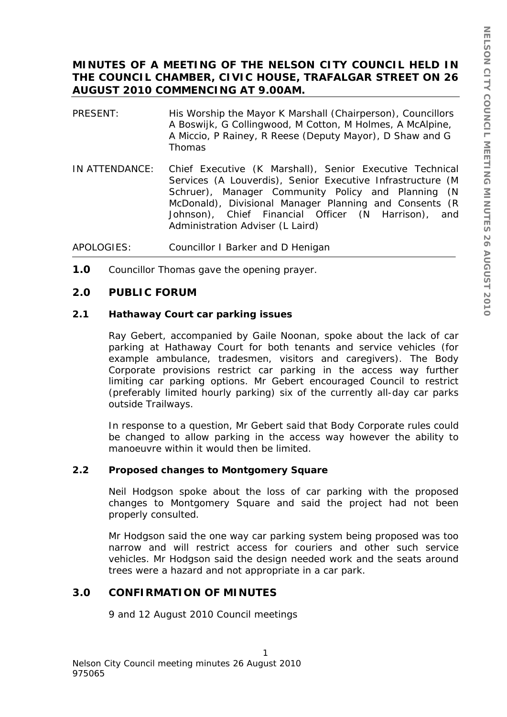# **MINUTES OF A MEETING OF THE NELSON CITY COUNCIL HELD IN THE COUNCIL CHAMBER, CIVIC HOUSE, TRAFALGAR STREET ON 26 AUGUST 2010 COMMENCING AT 9.00AM.**

- PRESENT: His Worship the Mayor K Marshall (Chairperson), Councillors A Boswijk, G Collingwood, M Cotton, M Holmes, A McAlpine, A Miccio, P Rainey, R Reese (Deputy Mayor), D Shaw and G Thomas
- IN ATTENDANCE: Chief Executive (K Marshall), Senior Executive Technical Services (A Louverdis), Senior Executive Infrastructure (M Schruer), Manager Community Policy and Planning (N McDonald), Divisional Manager Planning and Consents (R Johnson), Chief Financial Officer (N Harrison), and Administration Adviser (L Laird)
- APOLOGIES: Councillor I Barker and D Henigan
- **1.0** Councillor Thomas gave the opening prayer.

## **2.0 PUBLIC FORUM**

## **2.1 Hathaway Court car parking issues**

Ray Gebert, accompanied by Gaile Noonan, spoke about the lack of car parking at Hathaway Court for both tenants and service vehicles (for example ambulance, tradesmen, visitors and caregivers). The Body Corporate provisions restrict car parking in the access way further limiting car parking options. Mr Gebert encouraged Council to restrict (preferably limited hourly parking) six of the currently all-day car parks outside Trailways.

In response to a question, Mr Gebert said that Body Corporate rules could be changed to allow parking in the access way however the ability to manoeuvre within it would then be limited.

# **2.2 Proposed changes to Montgomery Square**

Neil Hodgson spoke about the loss of car parking with the proposed changes to Montgomery Square and said the project had not been properly consulted.

Mr Hodgson said the one way car parking system being proposed was too narrow and will restrict access for couriers and other such service vehicles. Mr Hodgson said the design needed work and the seats around trees were a hazard and not appropriate in a car park.

# **3.0 CONFIRMATION OF MINUTES**

9 and 12 August 2010 Council meetings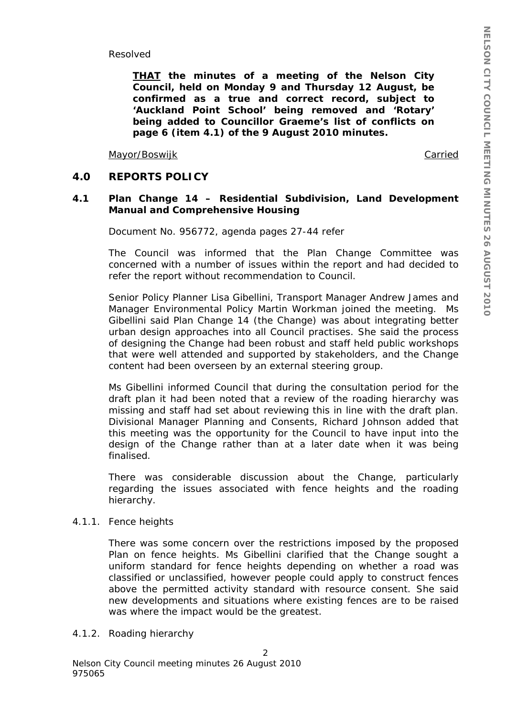Resolved

*THAT the minutes of a meeting of the Nelson City Council, held on Monday 9 and Thursday 12 August, be confirmed as a true and correct record, subject to 'Auckland Point School' being removed and 'Rotary' being added to Councillor Graeme's list of conflicts on page 6 (item 4.1) of the 9 August 2010 minutes.* 

Mayor/Boswijk **Carried** 

## **4.0 REPORTS POLICY**

## **4.1 Plan Change 14 – Residential Subdivision, Land Development Manual and Comprehensive Housing**

Document No. 956772, agenda pages 27-44 refer

The Council was informed that the Plan Change Committee was concerned with a number of issues within the report and had decided to refer the report without recommendation to Council.

Senior Policy Planner Lisa Gibellini, Transport Manager Andrew James and Manager Environmental Policy Martin Workman joined the meeting. Ms Gibellini said Plan Change 14 (the Change) was about integrating better urban design approaches into all Council practises. She said the process of designing the Change had been robust and staff held public workshops that were well attended and supported by stakeholders, and the Change content had been overseen by an external steering group.

Ms Gibellini informed Council that during the consultation period for the draft plan it had been noted that a review of the roading hierarchy was missing and staff had set about reviewing this in line with the draft plan. Divisional Manager Planning and Consents, Richard Johnson added that this meeting was the opportunity for the Council to have input into the design of the Change rather than at a later date when it was being finalised.

There was considerable discussion about the Change, particularly regarding the issues associated with fence heights and the roading hierarchy.

#### 4.1.1. Fence heights

There was some concern over the restrictions imposed by the proposed Plan on fence heights. Ms Gibellini clarified that the Change sought a uniform standard for fence heights depending on whether a road was classified or unclassified, however people could apply to construct fences above the permitted activity standard with resource consent. She said new developments and situations where existing fences are to be raised was where the impact would be the greatest.

2

4.1.2. Roading hierarchy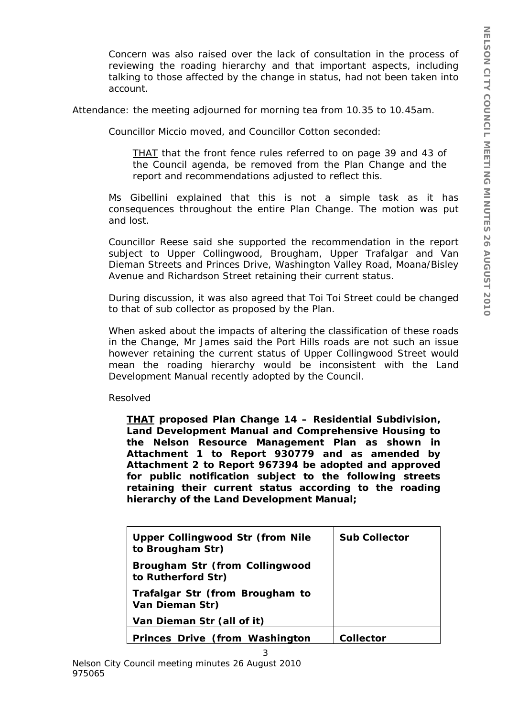Concern was also raised over the lack of consultation in the process of reviewing the roading hierarchy and that important aspects, including talking to those affected by the change in status, had not been taken into account.

Attendance: the meeting adjourned for morning tea from 10.35 to 10.45am.

Councillor Miccio moved, and Councillor Cotton seconded:

*THAT that the front fence rules referred to on page 39 and 43 of the Council agenda, be removed from the Plan Change and the report and recommendations adjusted to reflect this.* 

Ms Gibellini explained that this is not a simple task as it has consequences throughout the entire Plan Change. The motion was put and lost.

Councillor Reese said she supported the recommendation in the report subject to Upper Collingwood, Brougham, Upper Trafalgar and Van Dieman Streets and Princes Drive, Washington Valley Road, Moana/Bisley Avenue and Richardson Street retaining their current status.

During discussion, it was also agreed that Toi Toi Street could be changed to that of sub collector as proposed by the Plan.

When asked about the impacts of altering the classification of these roads in the Change, Mr James said the Port Hills roads are not such an issue however retaining the current status of Upper Collingwood Street would mean the roading hierarchy would be inconsistent with the Land Development Manual recently adopted by the Council.

Resolved

*THAT proposed Plan Change 14 – Residential Subdivision, Land Development Manual and Comprehensive Housing to the Nelson Resource Management Plan as shown in Attachment 1 to Report 930779 and as amended by Attachment 2 to Report 967394 be adopted and approved for public notification subject to the following streets retaining their current status according to the roading hierarchy of the Land Development Manual;* 

| <b>Upper Collingwood Str (from Nile</b><br>to Brougham Str) | <b>Sub Collector</b> |
|-------------------------------------------------------------|----------------------|
| <b>Brougham Str (from Collingwood</b><br>to Rutherford Str) |                      |
| Trafalgar Str (from Brougham to<br>Van Dieman Str)          |                      |
| Van Dieman Str (all of it)                                  |                      |
| <b>Princes Drive (from Washington</b>                       | Collector            |

3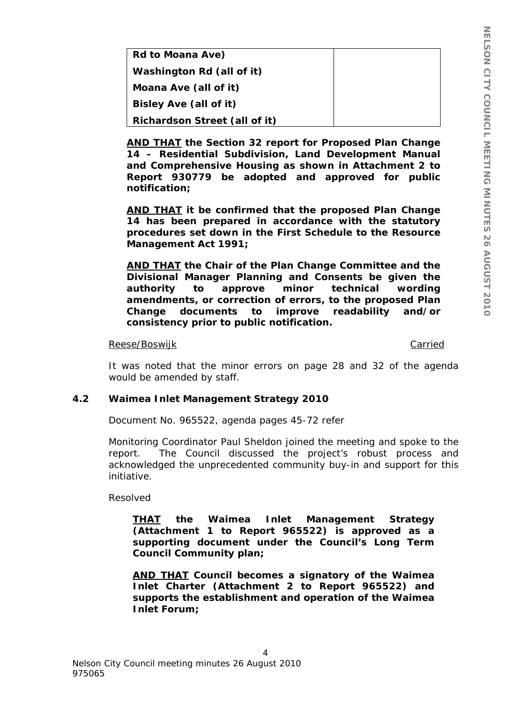| <b>Rd to Moana Ave)</b>              |  |
|--------------------------------------|--|
| Washington Rd (all of it)            |  |
| Moana Ave (all of it)                |  |
| <b>Bisley Ave (all of it)</b>        |  |
| <b>Richardson Street (all of it)</b> |  |

*AND THAT the Section 32 report for Proposed Plan Change 14 – Residential Subdivision, Land Development Manual and Comprehensive Housing as shown in Attachment 2 to Report 930779 be adopted and approved for public notification;* 

*AND THAT it be confirmed that the proposed Plan Change 14 has been prepared in accordance with the statutory procedures set down in the First Schedule to the Resource Management Act 1991;* 

*AND THAT the Chair of the Plan Change Committee and the Divisional Manager Planning and Consents be given the authority to approve minor technical wording amendments, or correction of errors, to the proposed Plan Change documents to improve readability and/or consistency prior to public notification.* 

#### Reese/Boswijk Carried Carried Carried Carried Carried Carried Carried Carried Carried Carried Carried Carried

It was noted that the minor errors on page 28 and 32 of the agenda would be amended by staff.

#### **4.2 Waimea Inlet Management Strategy 2010**

Document No. 965522, agenda pages 45-72 refer

Monitoring Coordinator Paul Sheldon joined the meeting and spoke to the report. The Council discussed the project's robust process and acknowledged the unprecedented community buy-in and support for this initiative.

Resolved

*THAT the Waimea Inlet Management Strategy (Attachment 1 to Report 965522) is approved as a supporting document under the Council's Long Term Council Community plan;* 

*AND THAT Council becomes a signatory of the Waimea Inlet Charter (Attachment 2 to Report 965522) and supports the establishment and operation of the Waimea Inlet Forum;* 

 $\overline{A}$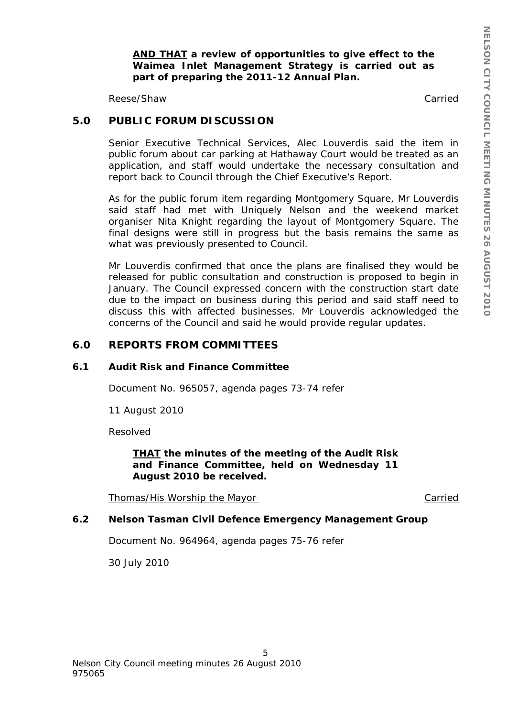*AND THAT a review of opportunities to give effect to the Waimea Inlet Management Strategy is carried out as part of preparing the 2011-12 Annual Plan.* 

Reese/Shaw Carried Carried Carried Carried Carried Carried Carried Carried Carried Carried Carried Carried Carried Carried Carried Carried Carried Carried Carried Carried Carried Carried Carried Carried Carried Carried Car

# **5.0 PUBLIC FORUM DISCUSSION**

Senior Executive Technical Services, Alec Louverdis said the item in public forum about car parking at Hathaway Court would be treated as an application, and staff would undertake the necessary consultation and report back to Council through the Chief Executive's Report.

As for the public forum item regarding Montgomery Square, Mr Louverdis said staff had met with Uniquely Nelson and the weekend market organiser Nita Knight regarding the layout of Montgomery Square. The final designs were still in progress but the basis remains the same as what was previously presented to Council.

Mr Louverdis confirmed that once the plans are finalised they would be released for public consultation and construction is proposed to begin in January. The Council expressed concern with the construction start date due to the impact on business during this period and said staff need to discuss this with affected businesses. Mr Louverdis acknowledged the concerns of the Council and said he would provide regular updates.

## **6.0 REPORTS FROM COMMITTEES**

#### **6.1 Audit Risk and Finance Committee**

Document No. 965057, agenda pages 73-74 refer

11 August 2010

Resolved

## *THAT the minutes of the meeting of the Audit Risk and Finance Committee, held on Wednesday 11 August 2010 be received.*

Thomas/His Worship the Mayor Carried

# **6.2 Nelson Tasman Civil Defence Emergency Management Group**

5

Document No. 964964, agenda pages 75-76 refer

30 July 2010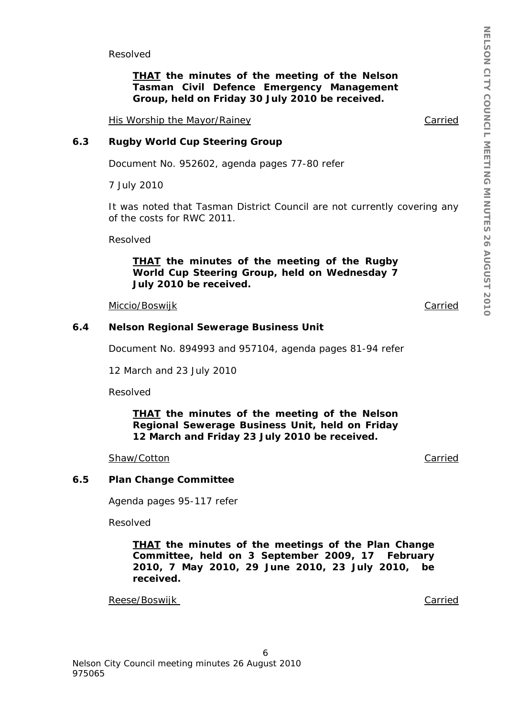Resolved

*THAT the minutes of the meeting of the Nelson Tasman Civil Defence Emergency Management Group, held on Friday 30 July 2010 be received.*

His Worship the Mayor/Rainey Carried

#### **6.3 Rugby World Cup Steering Group**

Document No. 952602, agenda pages 77-80 refer

7 July 2010

It was noted that Tasman District Council are not currently covering any of the costs for RWC 2011.

Resolved

#### *THAT the minutes of the meeting of the Rugby World Cup Steering Group, held on Wednesday 7 July 2010 be received.*

Miccio/Boswijk Carried

#### **6.4 Nelson Regional Sewerage Business Unit**

Document No. 894993 and 957104, agenda pages 81-94 refer

12 March and 23 July 2010

Resolved

#### *THAT the minutes of the meeting of the Nelson Regional Sewerage Business Unit, held on Friday 12 March and Friday 23 July 2010 be received.*

#### Shaw/Cotton **Carried** Carried Carried Carried Carried Carried Carried Carried Carried Carried Carried Carried Carried Carried Carried Carried Carried Carried Carried Carried Carried Carried Carried Carried Carried Carried

#### **6.5 Plan Change Committee**

Agenda pages 95-117 refer

Resolved

*THAT the minutes of the meetings of the Plan Change Committee, held on 3 September 2009, 17 February 2010, 7 May 2010, 29 June 2010, 23 July 2010, be received.* 

Reese/Boswijk Carried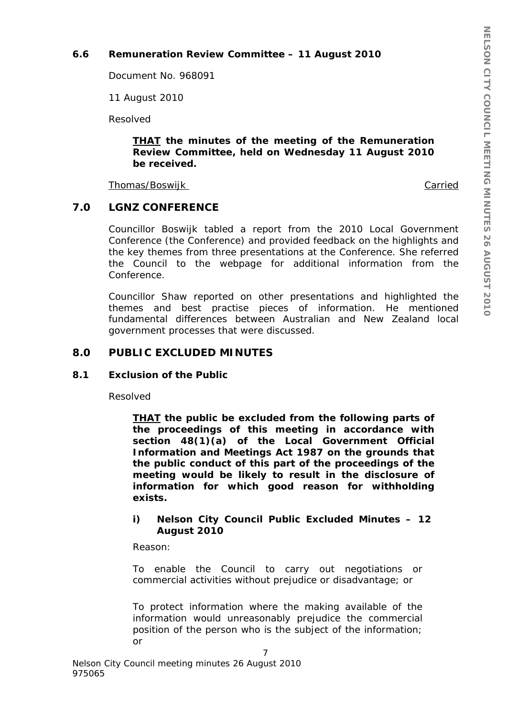# **6.6 Remuneration Review Committee – 11 August 2010**

Document No. 968091

11 August 2010

Resolved

#### *THAT the minutes of the meeting of the Remuneration Review Committee, held on Wednesday 11 August 2010 be received.*

Thomas/Boswijk Carried

# **7.0 LGNZ CONFERENCE**

Councillor Boswijk tabled a report from the 2010 Local Government Conference (the Conference) and provided feedback on the highlights and the key themes from three presentations at the Conference. She referred the Council to the webpage for additional information from the Conference.

Councillor Shaw reported on other presentations and highlighted the themes and best practise pieces of information. He mentioned fundamental differences between Australian and New Zealand local government processes that were discussed.

# **8.0 PUBLIC EXCLUDED MINUTES**

## **8.1 Exclusion of the Public**

Resolved

*THAT the public be excluded from the following parts of the proceedings of this meeting in accordance with section 48(1)(a) of the Local Government Official Information and Meetings Act 1987 on the grounds that the public conduct of this part of the proceedings of the meeting would be likely to result in the disclosure of information for which good reason for withholding exists.* 

# *i) Nelson City Council Public Excluded Minutes – 12 August 2010*

Reason:

*To enable the Council to carry out negotiations or commercial activities without prejudice or disadvantage; or* 

*To protect information where the making available of the information would unreasonably prejudice the commercial position of the person who is the subject of the information; or*